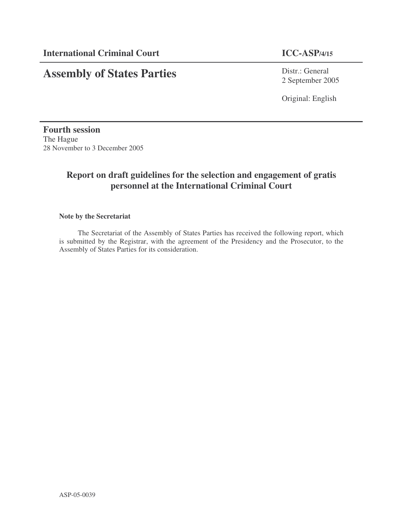# **Assembly of States Parties**

Distr.: General 2 September 2005

Original: English

**Fourth session** The Hague 28 November to 3 December 2005

# **Report on draft guidelines for the selection and engagement of gratis personnel at the International Criminal Court**

# **Note by the Secretariat**

The Secretariat of the Assembly of States Parties has received the following report, which is submitted by the Registrar, with the agreement of the Presidency and the Prosecutor, to the Assembly of States Parties for its consideration.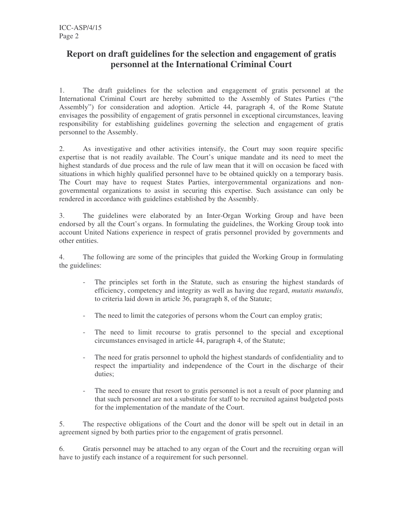# **Report on draft guidelines for the selection and engagement of gratis personnel at the International Criminal Court**

1. The draft guidelines for the selection and engagement of gratis personnel at the International Criminal Court are hereby submitted to the Assembly of States Parties ("the Assembly") for consideration and adoption. Article 44, paragraph 4, of the Rome Statute envisages the possibility of engagement of gratis personnel in exceptional circumstances, leaving responsibility for establishing guidelines governing the selection and engagement of gratis personnel to the Assembly.

2. As investigative and other activities intensify, the Court may soon require specific expertise that is not readily available. The Court's unique mandate and its need to meet the highest standards of due process and the rule of law mean that it will on occasion be faced with situations in which highly qualified personnel have to be obtained quickly on a temporary basis. The Court may have to request States Parties, intergovernmental organizations and nongovernmental organizations to assist in securing this expertise. Such assistance can only be rendered in accordance with guidelines established by the Assembly.

3. The guidelines were elaborated by an Inter-Organ Working Group and have been endorsed by all the Court's organs. In formulating the guidelines, the Working Group took into account United Nations experience in respect of gratis personnel provided by governments and other entities.

4. The following are some of the principles that guided the Working Group in formulating the guidelines:

- The principles set forth in the Statute, such as ensuring the highest standards of efficiency, competency and integrity as well as having due regard, *mutatis mutandis,* to criteria laid down in article 36, paragraph 8, of the Statute;
- The need to limit the categories of persons whom the Court can employ gratis;
- The need to limit recourse to gratis personnel to the special and exceptional circumstances envisaged in article 44, paragraph 4, of the Statute;
- The need for gratis personnel to uphold the highest standards of confidentiality and to respect the impartiality and independence of the Court in the discharge of their duties;
- The need to ensure that resort to gratis personnel is not a result of poor planning and that such personnel are not a substitute for staff to be recruited against budgeted posts for the implementation of the mandate of the Court.

5. The respective obligations of the Court and the donor will be spelt out in detail in an agreement signed by both parties prior to the engagement of gratis personnel.

6. Gratis personnel may be attached to any organ of the Court and the recruiting organ will have to justify each instance of a requirement for such personnel.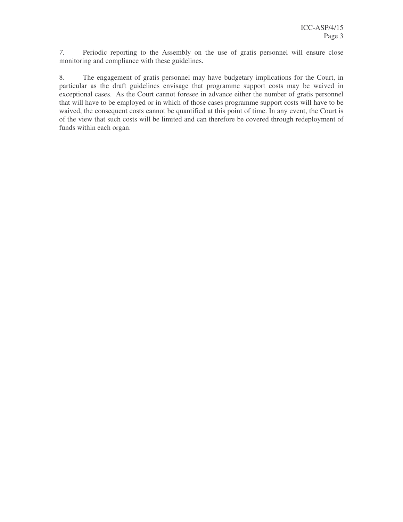*7.* Periodic reporting to the Assembly on the use of gratis personnel will ensure close monitoring and compliance with these guidelines.

8. The engagement of gratis personnel may have budgetary implications for the Court, in particular as the draft guidelines envisage that programme support costs may be waived in exceptional cases. As the Court cannot foresee in advance either the number of gratis personnel that will have to be employed or in which of those cases programme support costs will have to be waived, the consequent costs cannot be quantified at this point of time. In any event, the Court is of the view that such costs will be limited and can therefore be covered through redeployment of funds within each organ.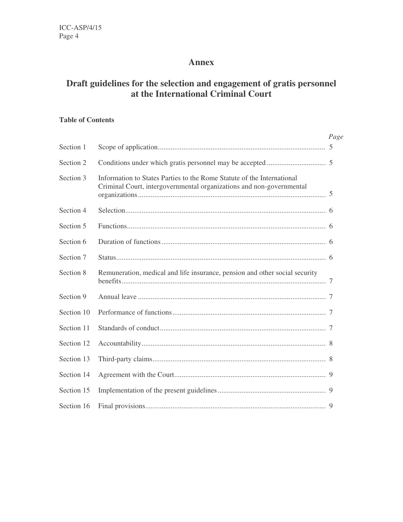# **Annex**

# **Draft guidelines for the selection and engagement of gratis personnel at the International Criminal Court**

# **Table of Contents**

|            |                                                                                                                                                | Page |
|------------|------------------------------------------------------------------------------------------------------------------------------------------------|------|
| Section 1  |                                                                                                                                                |      |
| Section 2  |                                                                                                                                                |      |
| Section 3  | Information to States Parties to the Rome Statute of the International<br>Criminal Court, intergovernmental organizations and non-governmental |      |
| Section 4  |                                                                                                                                                |      |
| Section 5  |                                                                                                                                                |      |
| Section 6  |                                                                                                                                                |      |
| Section 7  |                                                                                                                                                |      |
| Section 8  | Remuneration, medical and life insurance, pension and other social security                                                                    |      |
| Section 9  |                                                                                                                                                |      |
| Section 10 |                                                                                                                                                |      |
| Section 11 |                                                                                                                                                |      |
| Section 12 |                                                                                                                                                |      |
| Section 13 |                                                                                                                                                |      |
| Section 14 |                                                                                                                                                |      |
| Section 15 |                                                                                                                                                |      |
| Section 16 |                                                                                                                                                |      |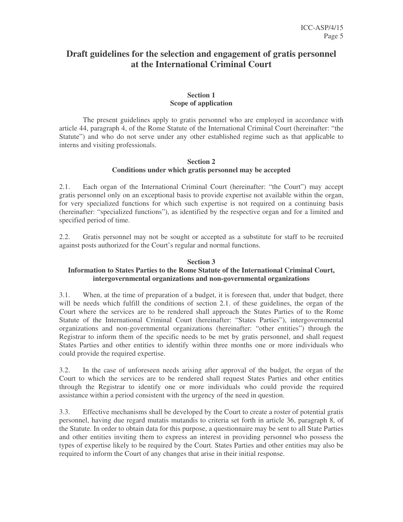# **Draft guidelines for the selection and engagement of gratis personnel at the International Criminal Court**

# **Section 1 Scope of application**

The present guidelines apply to gratis personnel who are employed in accordance with article 44, paragraph 4, of the Rome Statute of the International Criminal Court (hereinafter: "the Statute") and who do not serve under any other established regime such as that applicable to interns and visiting professionals.

# **Section 2 Conditions under which gratis personnel may be accepted**

2.1. Each organ of the International Criminal Court (hereinafter: "the Court") may accept gratis personnel only on an exceptional basis to provide expertise not available within the organ, for very specialized functions for which such expertise is not required on a continuing basis (hereinafter: "specialized functions"), as identified by the respective organ and for a limited and specified period of time.

2.2. Gratis personnel may not be sought or accepted as a substitute for staff to be recruited against posts authorized for the Court's regular and normal functions.

## **Section 3**

# **Information to States Parties to the Rome Statute of the International Criminal Court, intergovernmental organizations and non-governmental organizations**

3.1. When, at the time of preparation of a budget, it is foreseen that, under that budget, there will be needs which fulfill the conditions of section 2.1. of these guidelines, the organ of the Court where the services are to be rendered shall approach the States Parties of to the Rome Statute of the International Criminal Court (hereinafter: "States Parties"), intergovernmental organizations and non-governmental organizations (hereinafter: "other entities") through the Registrar to inform them of the specific needs to be met by gratis personnel, and shall request States Parties and other entities to identify within three months one or more individuals who could provide the required expertise.

3.2. In the case of unforeseen needs arising after approval of the budget, the organ of the Court to which the services are to be rendered shall request States Parties and other entities through the Registrar to identify one or more individuals who could provide the required assistance within a period consistent with the urgency of the need in question.

3.3. Effective mechanisms shall be developed by the Court to create a roster of potential gratis personnel, having due regard mutatis mutandis to criteria set forth in article 36, paragraph 8, of the Statute. In order to obtain data for this purpose, a questionnaire may be sent to all State Parties and other entities inviting them to express an interest in providing personnel who possess the types of expertise likely to be required by the Court. States Parties and other entities may also be required to inform the Court of any changes that arise in their initial response.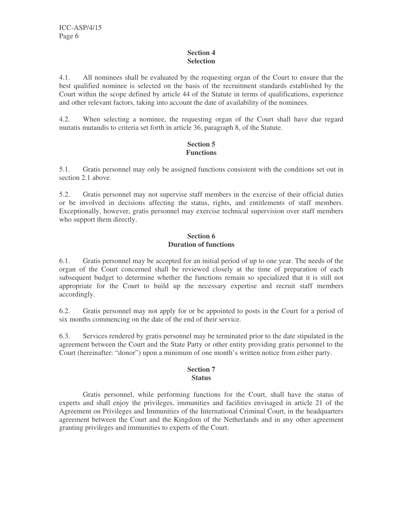# **Section 4 Selection**

4.1. All nominees shall be evaluated by the requesting organ of the Court to ensure that the best qualified nominee is selected on the basis of the recruitment standards established by the Court within the scope defined by article 44 of the Statute in terms of qualifications, experience and other relevant factors, taking into account the date of availability of the nominees.

4.2. When selecting a nominee, the requesting organ of the Court shall have due regard mutatis mutandis to criteria set forth in article 36, paragraph 8, of the Statute.

# **Section 5 Functions**

5.1. Gratis personnel may only be assigned functions consistent with the conditions set out in section 2.1 above.

5.2. Gratis personnel may not supervise staff members in the exercise of their official duties or be involved in decisions affecting the status, rights, and entitlements of staff members. Exceptionally, however, gratis personnel may exercise technical supervision over staff members who support them directly.

# **Section 6 Duration of functions**

6.1. Gratis personnel may be accepted for an initial period of up to one year. The needs of the organ of the Court concerned shall be reviewed closely at the time of preparation of each subsequent budget to determine whether the functions remain so specialized that it is still not appropriate for the Court to build up the necessary expertise and recruit staff members accordingly.

6.2. Gratis personnel may not apply for or be appointed to posts in the Court for a period of six months commencing on the date of the end of their service.

6.3. Services rendered by gratis personnel may be terminated prior to the date stipulated in the agreement between the Court and the State Party or other entity providing gratis personnel to the Court (hereinafter: "donor") upon a minimum of one month's written notice from either party.

### **Section 7 Status**

Gratis personnel, while performing functions for the Court, shall have the status of experts and shall enjoy the privileges, immunities and facilities envisaged in article 21 of the Agreement on Privileges and Immunities of the International Criminal Court, in the headquarters agreement between the Court and the Kingdom of the Netherlands and in any other agreement granting privileges and immunities to experts of the Court.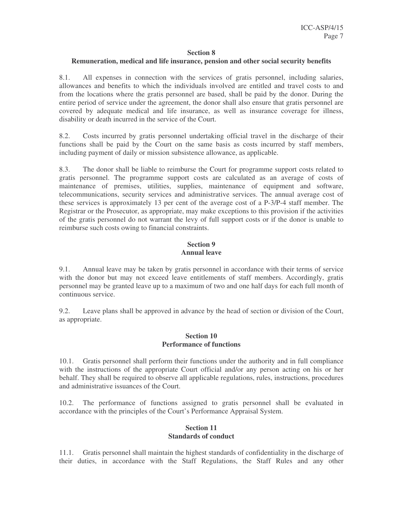#### **Section 8**

#### **Remuneration, medical and life insurance, pension and other social security benefits**

8.1. All expenses in connection with the services of gratis personnel, including salaries, allowances and benefits to which the individuals involved are entitled and travel costs to and from the locations where the gratis personnel are based, shall be paid by the donor. During the entire period of service under the agreement, the donor shall also ensure that gratis personnel are covered by adequate medical and life insurance, as well as insurance coverage for illness, disability or death incurred in the service of the Court.

8.2. Costs incurred by gratis personnel undertaking official travel in the discharge of their functions shall be paid by the Court on the same basis as costs incurred by staff members, including payment of daily or mission subsistence allowance, as applicable.

8.3. The donor shall be liable to reimburse the Court for programme support costs related to gratis personnel. The programme support costs are calculated as an average of costs of maintenance of premises, utilities, supplies, maintenance of equipment and software, telecommunications, security services and administrative services. The annual average cost of these services is approximately 13 per cent of the average cost of a P-3/P-4 staff member. The Registrar or the Prosecutor, as appropriate, may make exceptions to this provision if the activities of the gratis personnel do not warrant the levy of full support costs or if the donor is unable to reimburse such costs owing to financial constraints.

# **Section 9 Annual leave**

9.1. Annual leave may be taken by gratis personnel in accordance with their terms of service with the donor but may not exceed leave entitlements of staff members. Accordingly, gratis personnel may be granted leave up to a maximum of two and one half days for each full month of continuous service.

9.2. Leave plans shall be approved in advance by the head of section or division of the Court, as appropriate.

### **Section 10 Performance of functions**

10.1. Gratis personnel shall perform their functions under the authority and in full compliance with the instructions of the appropriate Court official and/or any person acting on his or her behalf. They shall be required to observe all applicable regulations, rules, instructions, procedures and administrative issuances of the Court.

10.2. The performance of functions assigned to gratis personnel shall be evaluated in accordance with the principles of the Court's Performance Appraisal System.

# **Section 11 Standards of conduct**

11.1. Gratis personnel shall maintain the highest standards of confidentiality in the discharge of their duties, in accordance with the Staff Regulations, the Staff Rules and any other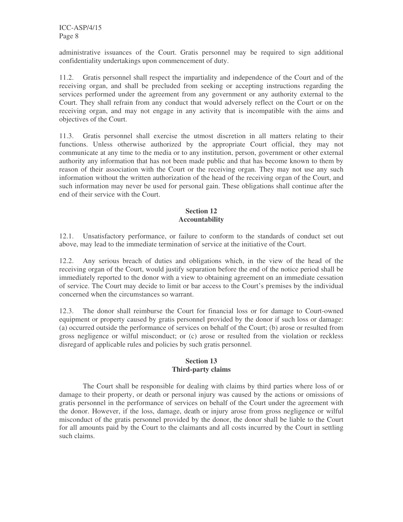administrative issuances of the Court. Gratis personnel may be required to sign additional confidentiality undertakings upon commencement of duty.

11.2. Gratis personnel shall respect the impartiality and independence of the Court and of the receiving organ, and shall be precluded from seeking or accepting instructions regarding the services performed under the agreement from any government or any authority external to the Court. They shall refrain from any conduct that would adversely reflect on the Court or on the receiving organ, and may not engage in any activity that is incompatible with the aims and objectives of the Court.

11.3. Gratis personnel shall exercise the utmost discretion in all matters relating to their functions. Unless otherwise authorized by the appropriate Court official, they may not communicate at any time to the media or to any institution, person, government or other external authority any information that has not been made public and that has become known to them by reason of their association with the Court or the receiving organ. They may not use any such information without the written authorization of the head of the receiving organ of the Court, and such information may never be used for personal gain. These obligations shall continue after the end of their service with the Court.

# **Section 12 Accountability**

12.1. Unsatisfactory performance, or failure to conform to the standards of conduct set out above, may lead to the immediate termination of service at the initiative of the Court.

12.2. Any serious breach of duties and obligations which, in the view of the head of the receiving organ of the Court, would justify separation before the end of the notice period shall be immediately reported to the donor with a view to obtaining agreement on an immediate cessation of service. The Court may decide to limit or bar access to the Court's premises by the individual concerned when the circumstances so warrant.

12.3. The donor shall reimburse the Court for financial loss or for damage to Court-owned equipment or property caused by gratis personnel provided by the donor if such loss or damage: (a) occurred outside the performance of services on behalf of the Court; (b) arose or resulted from gross negligence or wilful misconduct; or (c) arose or resulted from the violation or reckless disregard of applicable rules and policies by such gratis personnel.

# **Section 13 Third-party claims**

The Court shall be responsible for dealing with claims by third parties where loss of or damage to their property, or death or personal injury was caused by the actions or omissions of gratis personnel in the performance of services on behalf of the Court under the agreement with the donor. However, if the loss, damage, death or injury arose from gross negligence or wilful misconduct of the gratis personnel provided by the donor, the donor shall be liable to the Court for all amounts paid by the Court to the claimants and all costs incurred by the Court in settling such claims.